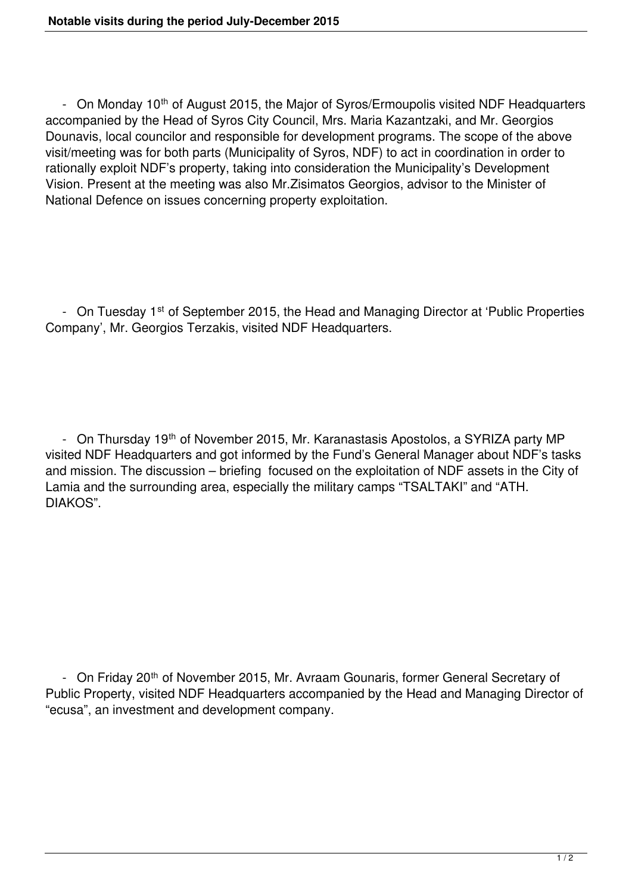- On Monday 10<sup>th</sup> of August 2015, the Major of Syros/Ermoupolis visited NDF Headquarters accompanied by the Head of Syros City Council, Mrs. Maria Kazantzaki, and Mr. Georgios Dounavis, local councilor and responsible for development programs. The scope of the above visit/meeting was for both parts (Municipality of Syros, NDF) to act in coordination in order to rationally exploit NDF's property, taking into consideration the Municipality's Development Vision. Present at the meeting was also Mr.Zisimatos Georgios, advisor to the Minister of National Defence on issues concerning property exploitation.

- On Tuesday 1<sup>st</sup> of September 2015, the Head and Managing Director at 'Public Properties Company', Mr. Georgios Terzakis, visited NDF Headquarters.

- On Thursday 19<sup>th</sup> of November 2015, Mr. Karanastasis Apostolos, a SYRIZA party MP visited NDF Headquarters and got informed by the Fund's General Manager about NDF's tasks and mission. The discussion – briefing focused on the exploitation of NDF assets in the City of Lamia and the surrounding area, especially the military camps "TSALTAKI" and "ATH. DIAKOS".

- On Friday 20<sup>th</sup> of November 2015, Mr. Avraam Gounaris, former General Secretary of Public Property, visited NDF Headquarters accompanied by the Head and Managing Director of "ecusa", an investment and development company.